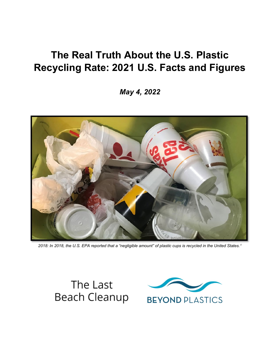# **The Real Truth About the U.S. Plastic Recycling Rate: 2021 U.S. Facts and Figures**

*May 4, 2022* 



*2018: In 2018, the U.S. EPA reported that a "negligible amount" of plastic cups is recycled in the United States.[1](#page-11-0)*



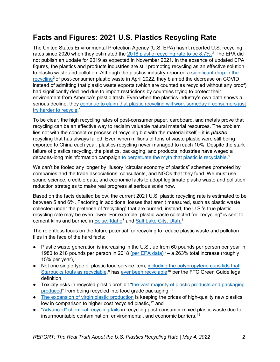# **Facts and Figures: 2021 U.S. Plastics Recycling Rate**

The United States Environmental Protection Agency (U.S. EPA) hasn't reported U.S. recycling rates since 2020 when they estimated the [2018 plastic recycling rate to be 8.7%.](https://www.epa.gov/sites/default/files/2020-11/documents/2018_tables_and_figures.pdf)<sup>[2](#page-11-1)</sup> The EPA did not publish an update for 2019 as expected in November 2021. In the absence of updated EPA figures, the plastics and products industries are still promoting recycling as an effective solution to plastic waste and pollution. Although the plastics industry reported a significant drop in the [recycling](https://circularityinaction.com/2020PlasticRecyclingData)<sup>[3](#page-11-2)</sup> of post-consumer plastic waste in April 2022, they blamed the decrease on COVID instead of admitting that plastic waste exports (which are counted as recycled without any proof) had significantly declined due to import restrictions by countries trying to protect their environment from America's plastic trash. Even when the plastics industry's own data shows a serious decline, they continue to claim that plastic recycling will work someday if consumers just [try harder to recycle.](https://www.plasticsnews.com/news/recycling-numbers-drop-due-covid-19)<sup>[4](#page-11-3)</sup>

To be clear, the high recycling rates of post-consumer paper, cardboard, and metals prove that recycling can be an effective way to reclaim valuable natural material resources. The problem lies not with the concept or process of recycling but with the material itself – it is *plastic* recycling that has always failed. Even when millions of tons of waste plastic were still being exported to China each year, plastics recycling never managed to reach 10%. Despite the stark failure of plastics recycling, the plastics, packaging, and products industries have waged a decades-long misinformation campaign [to perpetuate the myth that plastic is recyclable.](https://www.pbs.org/wgbh/frontline/film/plastic-wars/)<sup>[5](#page-11-4)</sup>

We can't be fooled any longer by illusory "circular economy of plastics" schemes promoted by companies and the trade associations, consultants, and NGOs that they fund. We must use sound science, credible data, and economic facts to adopt legitimate plastic waste and pollution reduction strategies to make real progress at serious scale now.

Based on the facts detailed below, the current 2021 U.S. plastic recycling rate is estimated to be between 5 and 6%. Factoring in additional losses that aren't measured, such as plastic waste collected under the pretense of "recycling" that are burned, instead, the U.S.'s true plastic recycling rate may be even lower. For example, plastic waste collected for "recycling" is sent to cement kilns and burned in <u>Boise, Idaho</u><sup>[6](#page-11-5)</sup> and <u>Salt Lake City, Utah.</u><sup>[7](#page-11-6)</sup>

The relentless focus on the future potential for recycling to reduce plastic waste and pollution flies in the face of the hard facts:

- Plastic waste generation is increasing in the U.S., up from 60 pounds per person per year in 1980 to 218 pounds per person in 2018 [\(per EPA data\)](https://www.epa.gov/sites/default/files/2020-11/documents/2018_tables_and_figures.pdf)<sup>[8](#page-11-7)</sup> – a 263% total increase (roughly 15% per year),
- Not one single type of plastic food service item, [including the polypropylene cups lids that](https://stories.starbucks.com/press/2020/starbucks-strawless-lids-now-available-across-the-u-s-and-canada/) <u>[Starbucks touts](https://stories.starbucks.com/press/2020/starbucks-strawless-lids-now-available-across-the-u-s-and-canada/) [as](https://stories.starbucks.com/press/2020/starbucks-strawless-lids-now-available-across-the-u-s-and-canada/) recyclable</u>,<sup>[9](#page-11-8)</sup> has <u>ever been recyclable</u><sup>[10](#page-11-9)</sup> per the FTC Green Guide legal definition,
- Toxicity risks in recycled plastic prohibit ["the vast majority of plastic products and packaging](https://www.plasticsmarkets.org/jsfcontent/ECCC_Food_Grade_Report_Oct_2021_jsf_1.pdf) <u>produced</u>" from being recycled into food grade packaging,<sup>[11](#page-11-10)</sup>
- [The expansion of virgin plastic production](https://www.huffpost.com/entry/plastic-recycling-oil-companies-landfill_n_5d8e4916e4b0e9e7604c832e) is keeping the prices of high-quality new plastics low in comparison to higher cost recycled plastic, [12](#page-11-11) and
- ["Advanced" chemical recycling fails](https://www.reuters.com/article/environment-plastic-oil-recycling-idAFL8N2P46F0) in recycling post-consumer mixed plastic waste due to insurmountable contamination, environmental, and economic barriers.<sup>[13](#page-11-12)</sup>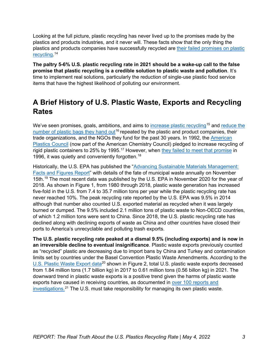Looking at the full picture, plastic recycling has never lived up to the promises made by the plastics and products industries, and it never will. These facts show that the only thing the plastics and products companies have successfully recycled are [their failed promises on plastic](https://www.scmp.com/comment/opinion/article/3125706/false-promise-disposable-plastic-recycling-obscures-firms-role)  [recycling.](https://www.scmp.com/comment/opinion/article/3125706/false-promise-disposable-plastic-recycling-obscures-firms-role) [14](#page-11-13) 

**The paltry 5-6% U.S. plastic recycling rate in 2021 should be a wake-up call to the false promise that plastic recycling is a credible solution to plastic waste and pollution**. It's time to implement real solutions, particularly the reduction of single-use plastic food service items that have the highest likelihood of polluting our environment.

# **A Brief History of U.S. Plastic Waste, Exports and Recycling Rates**

We've seen promises, goals, ambitions, and aims to [increase plastic recycling](https://ellenmacarthurfoundation.org/global-commitment/overview)<sup>[15](#page-11-14)</sup> and reduce the [number of plastic bags they hand out](https://corporate.walmart.com/_news_/news-archive/2008/09/25/walmart-sets-goal-to-reduce-its-global-plastic-shopping-bag-waste-by-one-third)<sup>[16](#page-11-15)</sup> repeated by the plastic and product companies, their trade organizations, and the NGOs they fund for the past 30 years. In 1992, the [American](https://www.plasticsnews.com/article/19960325/NEWS/303259995/apc-retreats-from-goal-to-recycle-25)  [Plastics Council](https://www.plasticsnews.com/article/19960325/NEWS/303259995/apc-retreats-from-goal-to-recycle-25) (now part of the American Chemistry Council) pledged to increase recycling of rigid plastic containers to 25% by 1995.<sup>[17](#page-11-16)</sup> However, when [they failed to meet that promise](https://www.plasticsnews.com/article/19960325/NEWS/303259995/apc-retreats-from-goal-to-recycle-25) in 1996, it was quietly and conveniently forgotten.<sup>[18](#page-11-17)</sup>

Historically, the U.S. EPA has published the ["Advancing Sustainable Materials Management:](https://www.epa.gov/facts-and-figures-about-materials-waste-and-recycling/advancing-sustainable-materials-management)  [Facts and Figures Report"](https://www.epa.gov/facts-and-figures-about-materials-waste-and-recycling/advancing-sustainable-materials-management) with details of the fate of municipal waste annually on November 15th.<sup>[19](#page-11-18)</sup> The most recent data was published by the U.S. EPA in November 2020 for the year of 2018. As shown in Figure 1, from 1980 through 2018, plastic waste generation has increased five-fold in the U.S. from 7.4 to 35.7 million tons per year while the plastic recycling rate has never reached 10%. The peak recycling rate reported by the U.S. EPA was 9.5% in 2014 although that number also counted U.S. exported material as recycled when it was largely burned or dumped. The 9.5% included 2.1 million tons of plastic waste to Non-OECD countries, of which 1.2 million tons were sent to China. Since 2018, the U.S. plastic recycling rate has declined along with declining exports of waste as China and other countries have closed their ports to America's unrecyclable and polluting trash exports.

**The U.S. plastic recycling rate peaked at a dismal 9.5% (including exports) and is now in an irreversible decline to eventual insignificance**. Plastic waste exports previously counted as "recycled" plastic are decreasing due to import bans by China and Turkey and contamination limits set by countries under the Basel Convention Plastic Waste Amendments. According to the [U.S. Plastic Waste Export data](https://usatrade.census.gov/index.php?do=login)<sup>[20](#page-11-19)</sup> shown in Figure 2, total U.S. plastic waste exports decreased from 1.84 million tons (1.7 billion kg) in 2017 to 0.61 million tons (0.56 billon kg) in 2021. The downward trend in plastic waste exports is a positive trend given the harms of plastic waste exports have caused in receiving countries, as documented in [over 100 reports and](https://www.lastbeachcleanup.org/plastic-waste-exports)  [investigations.](https://www.lastbeachcleanup.org/plastic-waste-exports) [21](#page-11-20) The U.S. must take responsibility for managing its own plastic waste.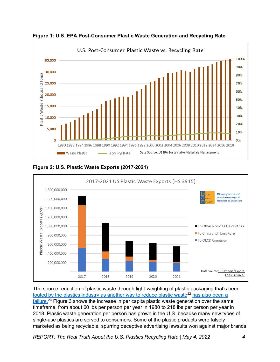

**Figure 1: U.S. EPA Post-Consumer Plastic Waste Generation and Recycling Rate**





The source reduction of plastic waste through light-weighting of plastic packaging that's been [touted by the plastics industry as another way to reduce plastic waste](https://www.plasticstoday.com/packaging/water-market-taps-lightweight-plastic-bottles)<sup>[22](#page-11-21)</sup> has also been a [failure.](https://www.plasticsoupfoundation.org/en/plastic-problem/bogus-solutions/lightweight-packaging/)<sup>[23](#page-11-22)</sup> Figure 3 shows the increase in per capita plastic waste generation over the same timeframe, from about 60 lbs per person per year in 1980 to 218 lbs per person per year in 2018. Plastic waste generation per person has grown in the U.S. because many new types of single-use plastics are served to consumers. Some of the plastic products were falsely marketed as being recyclable, spurring deceptive advertising lawsuits won against major brands

*REPORT: The Real Truth About the U.S. Plastics Recycling Rate | May 4, 2022 4*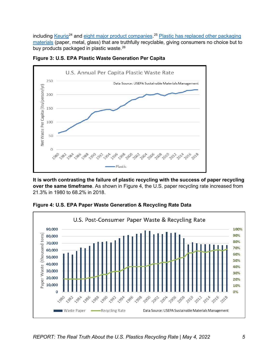including <u>Keurig<sup>[24](#page-11-23)</sup> and eight major product companies</u>.<sup>[25](#page-11-24)</sup> Plastic has replaced other packaging [materials](https://resource-recycling.com/recycling/2018/10/29/data-corner-the-evolving-ton-over-25-years/) (paper, metal, glass) that are truthfully recyclable, giving consumers no choice but to buy products packaged in plastic waste.<sup>26</sup>



**Figure 3: U.S. EPA Plastic Waste Generation Per Capita**

**It is worth contrasting the failure of plastic recycling with the success of paper recycling over the same timeframe**. As shown in Figure 4, the U.S. paper recycling rate increased from 21.3% in 1980 to 68.2% in 2018.



**Figure 4: U.S. EPA Paper Waste Generation & Recycling Rate Data**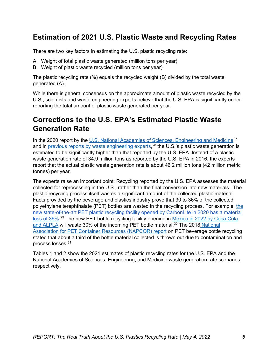## **Estimation of 2021 U.S. Plastic Waste and Recycling Rates**

There are two key factors in estimating the U.S. plastic recycling rate:

- A. Weight of total plastic waste generated (million tons per year)
- B. Weight of plastic waste recycled (million tons per year)

The plastic recycling rate (%) equals the recycled weight (B) divided by the total waste generated (A).

While there is general consensus on the approximate amount of plastic waste recycled by the U.S., scientists and waste engineering experts believe that the U.S. EPA is significantly underreporting the total amount of plastic waste generated per year.

# **Corrections to the U.S. EPA's Estimated Plastic Waste Generation Rate**

In the 2020 report by the [U.S. National Academies of Sciences](https://www.nap.edu/catalog/26132/reckoning-with-the-us-role-in-global-ocean-plastic-waste), Engineering and Medicine<sup>[27](#page-11-26)</sup> and in <u>previous reports by waste engineering experts</u>,<sup>[28](#page-11-27)</sup> the U.S.'s plastic waste generation is estimated to be significantly higher than that reported by the U.S. EPA. Instead of a plastic waste generation rate of 34.9 million tons as reported by the U.S. EPA in 2016, the experts report that the actual plastic waste generation rate is about 46.2 million tons (42 million metric tonnes) per year.

The experts raise an important point: Recycling reported by the U.S. EPA assesses the material collected for reprocessing in the U.S., rather than the final conversion into new materials. The plastic recycling process itself wastes a significant amount of the collected plastic material. Facts provided by the beverage and plastics industry prove that 30 to 36% of the collected polyethylene terephthalate (PET) bottles are wasted in [the](https://nam10.safelinks.protection.outlook.com/?url=https%3A%2F%2Fwaste-management-world.com%2Fa%2Fcarbonlite-opens-world-s-largest-bottle-to-bottle-recycling-plant-in-pennsylvania&data=04%7C01%7Cdloepp%40crain.com%7Ca0791c809dd94bef334d08d87d09c3f4%7C2c6dce2dd43a4e78905e80e15b0a4b44%7C0%7C0%7C637396828189536373%7CUnknown%7CTWFpbGZsb3d8eyJWIjoiMC4wLjAwMDAiLCJQIjoiV2luMzIiLCJBTiI6Ik1haWwiLCJXVCI6Mn0%3D%7C1000&sdata=kSL%2FsBm8fPOhhLAjjn9%2Bc6Rbraqo1CIqRPUYtopBkDY%3D&reserved=0) recycling process. For example, the [new state-of-the-art PET plastic recycling facility opened by CarbonLite in 2020 has a material](https://nam10.safelinks.protection.outlook.com/?url=https%3A%2F%2Fwaste-management-world.com%2Fa%2Fcarbonlite-opens-world-s-largest-bottle-to-bottle-recycling-plant-in-pennsylvania&data=04%7C01%7Cdloepp%40crain.com%7Ca0791c809dd94bef334d08d87d09c3f4%7C2c6dce2dd43a4e78905e80e15b0a4b44%7C0%7C0%7C637396828189536373%7CUnknown%7CTWFpbGZsb3d8eyJWIjoiMC4wLjAwMDAiLCJQIjoiV2luMzIiLCJBTiI6Ik1haWwiLCJXVCI6Mn0%3D%7C1000&sdata=kSL%2FsBm8fPOhhLAjjn9%2Bc6Rbraqo1CIqRPUYtopBkDY%3D&reserved=0)  [loss of 36%.](https://nam10.safelinks.protection.outlook.com/?url=https%3A%2F%2Fwaste-management-world.com%2Fa%2Fcarbonlite-opens-world-s-largest-bottle-to-bottle-recycling-plant-in-pennsylvania&data=04%7C01%7Cdloepp%40crain.com%7Ca0791c809dd94bef334d08d87d09c3f4%7C2c6dce2dd43a4e78905e80e15b0a4b44%7C0%7C0%7C637396828189536373%7CUnknown%7CTWFpbGZsb3d8eyJWIjoiMC4wLjAwMDAiLCJQIjoiV2luMzIiLCJBTiI6Ik1haWwiLCJXVCI6Mn0%3D%7C1000&sdata=kSL%2FsBm8fPOhhLAjjn9%2Bc6Rbraqo1CIqRPUYtopBkDY%3D&reserved=0)<sup>[29](#page-11-28)</sup> The new PET bottle recycling facility opening in <u>Mexico in 2022 by Coca-Cola</u> [and ALPLA](https://www.recyclingtoday.com/article/alpla-coca-cola-femsa-invest-pet-recycling-mexico-plant/) will waste [30](#page-11-29)% of the incoming PET bottle material.<sup>30</sup> The 2018 National [Association for PET Container Resources \(NAPCOR\) report](https://napcor.com/wp-content/uploads/2021/07/Postconsumer-PET-Recycling-Activity-in-2018.pdf) on PET beverage bottle recycling stated that about a third of the bottle material collected is thrown out due to contamination and process losses.[31](#page-11-30)

Tables 1 and 2 show the 2021 estimates of plastic recycling rates for the U.S. EPA and the National Academies of Sciences, Engineering, and Medicine waste generation rate scenarios, respectively.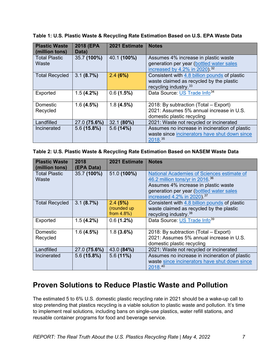| <b>Plastic Waste</b><br>(million tons) | 2018 (EPA<br>Data) | 2021 Estimate | <b>Notes</b>                                                                                                                   |
|----------------------------------------|--------------------|---------------|--------------------------------------------------------------------------------------------------------------------------------|
| <b>Total Plastic</b><br>Waste          | 35.7 (100%)        | 40.1 (100%)   | Assumes 4% increase in plastic waste<br>generation per year (bottled water sales<br>increased by 4.2% in 2020). <sup>32</sup>  |
| <b>Total Recycled</b>                  | 3.1(8.7%)          | 2.4(6%)       | Consistent with 4.8 billion pounds of plastic<br>waste claimed as recycled by the plastic<br>recycling industry. <sup>33</sup> |
| Exported                               | 1.5(4.2%)          | 0.6(1.5%)     | Data Source: US Trade Info <sup>34</sup>                                                                                       |
| Domestic<br>Recycled                   | 1.6(4.5%)          | 1.8(4.5%)     | 2018: By subtraction (Total – Export)<br>2021: Assumes 5% annual increase in U.S.<br>domestic plastic recycling                |
| Landfilled                             | 27.0 (75.6%)       | 32.1 (80%)    | 2021: Waste not recycled or incinerated                                                                                        |
| Incinerated                            | 5.6(15.8%)         | 5.6(14%)      | Assumes no increase in incineration of plastic<br>waste since incinerators have shut down since<br>2018.35                     |

**Table 1: U.S. Plastic Waste & Recycling Rate Estimation Based on U.S. EPA Waste Data**

#### **Table 2: U.S. Plastic Waste & Recycling Rate Estimation Based on NASEM Waste Data**

| <b>Plastic Waste</b><br>(million tons) | 2018<br>(EPA Data) | 2021 Estimate                            | <b>Notes</b>                                                                                                                                                                                                |
|----------------------------------------|--------------------|------------------------------------------|-------------------------------------------------------------------------------------------------------------------------------------------------------------------------------------------------------------|
| <b>Total Plastic</b><br>Waste          | 35.7 (100%)        | 51.0 (100%)                              | National Academies of Sciences estimate of<br>46.2 million tons/yr in 2016 36<br>Assumes 4% increase in plastic waste<br>generation per year (bottled water sales<br>increased 4.2% in 2020). <sup>37</sup> |
| <b>Total Recycled</b>                  | 3.1(8.7%)          | 2.4(5%)<br>(rounded up<br>from $4.8\%$ ) | Consistent with 4.8 billion pounds of plastic<br>waste claimed as recycled by the plastic<br>recycling industry. <sup>38</sup>                                                                              |
| Exported                               | $1.5(4.2\%)$       | $0.6(1.2\%)$                             | Data Source: US Trade Info <sup>39</sup>                                                                                                                                                                    |
| Domestic<br>Recycled                   | 1.6(4.5%)          | 1.8(3.6%)                                | 2018: By subtraction (Total – Export)<br>2021: Assumes 5% annual increase in U.S.<br>domestic plastic recycling                                                                                             |
| Landfilled                             | 27.0 (75.6%)       | 43.0 (84%)                               | 2021: Waste not recycled or incinerated                                                                                                                                                                     |
| Incinerated                            | 5.6(15.8%)         | 5.6(11%)                                 | Assumes no increase in incineration of plastic<br>waste since incinerators have shut down since<br>2018.40                                                                                                  |

### **Proven Solutions to Reduce Plastic Waste and Pollution**

The estimated 5 to 6% U.S. domestic plastic recycling rate in 2021 should be a wake-up call to stop pretending that plastics recycling is a viable solution to plastic waste and pollution. It's time to implement real solutions, including bans on single-use plastics, water refill stations, and reusable container programs for food and beverage service.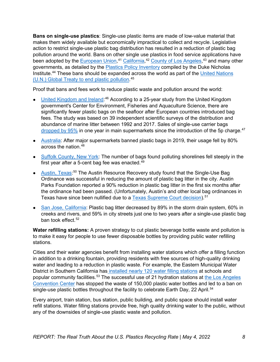**Bans on single-use plastics**: Single-use plastic items are made of low-value material that makes them widely available but economically impractical to collect and recycle. Legislative action to restrict single-use plastic bag distribution has resulted in a reduction of plastic bag pollution around the world. Bans on other single use plastics in food service applications have been adopted by the [European Union,](https://ec.europa.eu/environment/topics/plastics/single-use-plastics_en)<sup>[41](#page-11-38)</sup> [California,](https://calrecycle.ca.gov/packaging/statefoodservice/)<sup>[42](#page-11-39)</sup> [County of Los Angeles,](https://www.cbsnews.com/losangeles/news/la-county-bans-single-use-plastic-at-restaurants/)<sup>[43](#page-11-40)</sup> and many other governments, as detailed by the [Plastics Policy Inventory](https://nicholasinstitute.duke.edu/plastics-policy-inventory) compiled by the Duke Nicholas Institute.[44](#page-11-41) These bans should be expanded across the world as part of the [United Nations](https://www.unep.org/news-and-stories/press-release/historic-day-campaign-beat-plastic-pollution-nations-commit-develop)  [\(U.N.\) Global Treaty to end plastic pollution.](https://www.unep.org/news-and-stories/press-release/historic-day-campaign-beat-plastic-pollution-nations-commit-develop)<sup>[45](#page-11-42)</sup>

Proof that bans and fees work to reduce plastic waste and pollution around the world:

- [United Kingdom and Ireland:](https://doi.org/10.1016/j.scitotenv.2018.02.245)<sup>[46](#page-11-43)</sup> According to a 25-year study from the United Kingdom government's Center for Environment, Fisheries and Aquaculture Science, there are significantly fewer plastic bags on the seafloor after European countries introduced bag fees. The study was based on 39 independent scientific surveys of the distribution and abundance of marine litter between 1992 and 2017. Sales of single-use carrier bags dropped by  $95\%$  in one year in main supermarkets since the introduction of the 5p charge.<sup>[47](#page-11-44)</sup>
- [Australia:](https://www.globalcitizen.org/en/content/australia-has-eliminated-billions-of-plastic-bags/) After major supermarkets banned plastic bags in 2019, their usage fell by 80% across the nation.[48](#page-11-13)
- [Suffolk County, New York:](https://www.newsday.com/long-island/suffolk/suffolk-plastic-bag-law-1.28787005) The number of bags found polluting shorelines fell steeply in the first year after a 5-cent bag fee was enacted. $49$
- [Austin, Texas:](https://www.austintexas.gov/edims/document.cfm?id=232679)<sup>[50](#page-11-15)</sup> The Austin Resource Recovery study found that the Single-Use Bag Ordinance was successful in reducing the amount of plastic bag litter in the city. Austin Parks Foundation reported a 90% reduction in plastic bag litter in the first six months after the ordinance had been passed. (Unfortunately, Austin's and other local bag ordinances in Texas have since been nullified due to a [Texas Supreme Court decision\)](https://www.texastribune.org/2018/06/22/texas-supreme-court-rules-bag-bans/).<sup>[51](#page-11-46)</sup>
- [San Jose, California:](http://www3.sanjoseca.gov/clerk/CommitteeAgenda/TE/20121203/TE20121203_d5.pdf) Plastic bag litter decreased by 89% in the storm drain system, 60% in creeks and rivers, and 59% in city streets just one to two years after a single-use plastic bag ban took effect.<sup>[52](#page-11-47)</sup>

**Water refilling stations:** A proven strategy to cut plastic beverage bottle waste and pollution is to make it easy for people to use fewer disposable bottles by providing public water refilling stations.

Cities and their water agencies benefit from installing water stations which offer a filling function in addition to a drinking fountain, providing residents with free sources of high-quality drinking water and leading to a reduction in plastic waste. For example, the Eastern Municipal Water District in Southern California has installed [nearly 120 water filling stations](https://www.emwd.org/wbfsprogram) at schools and popular community facilities.<sup>[53](#page-11-48)</sup> The successful use of 21 hydration stations at the Los Angeles [Convention Center](https://www.c-mw.net/los-angeles-convention-center-bans-single-use-plastic-bottles/) has stopped the waste of 150,000 plastic water bottles and led to a ban on single-use plastic bottles throughout the facility to celebrate Earth Day, 22 April.<sup>[54](#page-11-49)</sup>

Every airport, train station, bus station, public building, and public space should install water refill stations. Water filling stations provide free, high quality drinking water to the public, without any of the downsides of single-use plastic waste and pollution.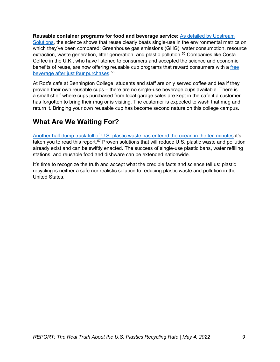**Reusable container programs for food and beverage service:** [As detailed by Upstream](https://upstreamsolutions.org/reuse-vs-single-use-environment)  [Solutions,](https://upstreamsolutions.org/reuse-vs-single-use-environment) the science shows that reuse clearly beats single-use in the environmental metrics on which they've been compared: Greenhouse gas emissions (GHG), water consumption, resource extraction, waste generation, litter generation, and plastic pollution.<sup>[55](#page-11-50)</sup> Companies like Costa Coffee in the U.K., who have listened to consumers and accepted the science and economic benefits of reuse, are now offering reusable cup programs that reward consumers with a [free](https://www.edie.net/costa-coffee-to-trial-plant-based-cup-lids/)  [beverage after just four purchases.](https://www.edie.net/costa-coffee-to-trial-plant-based-cup-lids/) [56](#page-11-51)

At Roz's cafe at Bennington College, students and staff are only served coffee and tea if they provide their own reusable cups – there are no single-use beverage cups available. There is a small shelf where cups purchased from local garage sales are kept in the cafe if a customer has forgotten to bring their mug or is visiting. The customer is expected to wash that mug and return it. Bringing your own reusable cup has become second nature on this college campus.

### **What Are We Waiting For?**

Another [half dump truck full of U.S. plastic waste has entered the ocean in the ten minutes](https://meetingoftheminds.org/7-ways-for-cities-to-reduce-plastic-pollution-30380) it's taken you to read this report.<sup>[57](#page-11-52)</sup> Proven solutions that will reduce U.S. plastic waste and pollution already exist and can be swiftly enacted. The success of single-use plastic bans, water refilling stations, and reusable food and dishware can be extended nationwide.

It's time to recognize the truth and accept what the credible facts and science tell us: plastic recycling is neither a safe nor realistic solution to reducing plastic waste and pollution in the United States.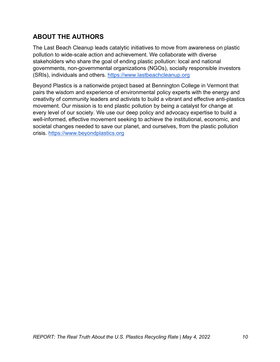### **ABOUT THE AUTHORS**

The Last Beach Cleanup leads catalytic initiatives to move from awareness on plastic pollution to wide-scale action and achievement. We collaborate with diverse stakeholders who share the goal of ending plastic pollution: local and national governments, non-governmental organizations (NGOs), socially responsible investors (SRIs), individuals and others. [https://www.lastbeachcleanup.org](https://www.lastbeachcleanup.org/)

Beyond Plastics is a nationwide project based at Bennington College in Vermont that pairs the wisdom and experience of environmental policy experts with the energy and creativity of community leaders and activists to build a vibrant and effective anti-plastics movement. Our mission is to end plastic pollution by being a catalyst for change at every level of our society. We use our deep policy and advocacy expertise to build a well-informed, effective movement seeking to achieve the institutional, economic, and societal changes needed to save our planet, and ourselves, from the plastic pollution crisis. [https://www.beyondplastics.org](https://www.beyondplastics.org/)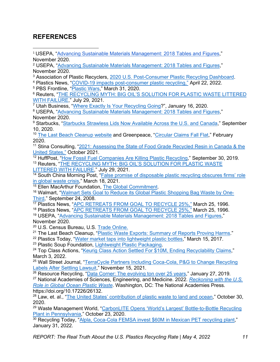### **REFERENCES**

- <sup>1</sup> USEPA, ["Advancing Sustainable Materials Management: 2018 Tables and Figures,](https://www.epa.gov/sites/default/files/2020-11/documents/2018_tables_and_figures.pdf)" November 2020.
- <sup>2</sup> USEPA, ["Advancing Sustainable Materials Management: 2018 Tables and Figures,](https://www.epa.gov/sites/default/files/2020-11/documents/2018_tables_and_figures.pdf)" November 2020.
- <sup>3</sup> Association of Plastic Recyclers, <u>2020 U.S. Post-Consumer Plastic Recycling Dashboard</u>.<br><sup>4</sup> Plastics News, ["COVID-19 impacts post-consumer plastic recycling,"](https://www.plasticsnews.com/news/recycling-numbers-drop-due-covid-19) April 22, 2022.
- 
- <sup>5</sup> PBS Frontline, ["Plastic Wars,](https://www.pbs.org/wgbh/frontline/film/plastic-wars/)" March 31, 2020.
- <sup>6</sup> Reuters, ["THE RECYCLING MYTH: BIG OIL'S SOLUTION FOR PLASTIC WASTE LITTERED](https://www.reuters.com/investigates/special-report/environment-plastic-oil-recycling/)  [WITH FAILURE,](https://www.reuters.com/investigates/special-report/environment-plastic-oil-recycling/)" July 29, 2021.
- <sup>7</sup> Utah Business, ["Where Exactly Is Your Recycling Going?](https://www.utahbusiness.com/utahs-recycling-industry/)", January 16, 2020.

<sup>8</sup> USEPA, ["Advancing Sustainable Materials Management: 2018 Tables and Figures,](https://www.epa.gov/sites/default/files/2020-11/documents/2018_tables_and_figures.pdf)" November 2020.

<sup>9</sup> Starbucks, ["Starbucks Strawless Lids Now Available Across the U.S. and Canada,](https://stories.starbucks.com/press/2020/starbucks-strawless-lids-now-available-across-the-u-s-and-canada/)" September 10, 2020.

<sup>10</sup> [The Last Beach Cleanup website](https://www.lastbeachcleanup.org/usplasticrecyclingsurvey) and Greenpeace, ["Circular Claims Fall Flat,](https://www.greenpeace.org/usa/research/report-circular-claims-fall-flat/)" February 2020.

<sup>11</sup> Stina Consulting, "2021: Assessing the State of Food Grade Recycled Resin in Canada & the [United States,"](https://www.plasticsmarkets.org/jsfcontent/ECCC_Food_Grade_Report_Oct_2021_jsf_1.pdf) October 2021.

<sup>12</sup> HuffPost, "<u>How Fossil Fuel Companies Are Killing Plastic Recycling</u>," September 30, 2019.

13 Reuters, "THE RECYCLING MYTH: BIG OIL'S SOLUTION FOR PLASTIC WASTE [LITTERED WITH FAILURE,](https://www.reuters.com/investigates/special-report/environment-plastic-oil-recycling/)" July 29, 2021.

<sup>14</sup> South China Morning Post, "False promise of disposable plastic recycling obscures firms' role [in global waste crisis,](https://www.scmp.com/comment/opinion/article/3125706/false-promise-disposable-plastic-recycling-obscures-firms-role)" March 18, 2021.<br><sup>15</sup> Ellen MacArthur Foundation, The Global Commitment.

<sup>16</sup> Walmart, ["Walmart Sets Goal to Reduce its Global Plastic Shopping Bag Waste by One-](https://corporate.walmart.com/newsroom/2008/09/24/walmart-sets-goal-to-reduce-its-global-plastic-shopping-bag-waste-by-one-third)[Third,](https://corporate.walmart.com/newsroom/2008/09/24/walmart-sets-goal-to-reduce-its-global-plastic-shopping-bag-waste-by-one-third)" September 24, 2008.

<sup>17</sup> Plastics News, ["APC RETREATS FROM GOAL TO RECYCLE 25%,"](https://www.plasticsnews.com/article/19960325/NEWS/303259995/apc-retreats-from-goal-to-recycle-25) March 25, 1996.

<sup>18</sup> Plastics News, ["APC RETREATS FROM GOAL TO RECYCLE 25%,"](https://www.plasticsnews.com/article/19960325/NEWS/303259995/apc-retreats-from-goal-to-recycle-25) March 25, 1996.

<sup>19</sup> USEPA, ["Advancing Sustainable Materials Management: 2018 Tables and Figures,](https://www.epa.gov/sites/default/files/2020-11/documents/2018_tables_and_figures.pdf)" November 2020.<br><sup>20</sup> U.S. Census Bureau, U.S. Trade Online.

<sup>21</sup> The Last Beach Cleanup, ["Plastic Waste Exports: Summary of Reports Proving Harms.](https://www.lastbeachcleanup.org/plastic-waste-exports)"

<sup>22</sup> Plastics Today, ["Water market taps into lightweight plastic bottles,](https://www.plasticstoday.com/packaging/water-market-taps-lightweight-plastic-bottles)" March 15, 2017.<br><sup>23</sup> Plastic Soup Foundation, Lightweight Plastic Packaging.

<sup>24</sup> Top Class Actions, ["Keurig Class Action Settled For \\$10M, Ending Recyclability Claims,](https://topclassactions.com/lawsuit-settlements/consumer-products/food/keurig-class-action-settled-for-10m-ending-recyclability-claims/)" March 3, 2022.

<sup>25</sup> Wall Street Journal, "TerraCycle Partners Including Coca-Cola, P&G to Change Recycling [Labels After Settling Lawsuit,](https://www.wsj.com/articles/terracycle-partners-including-coca-cola-p-g-to-change-recycling-labels-after-settling-lawsuit-11637005586)" November 15, 2021.

<sup>26</sup> Resource Recycling, "<u>Data Corner: The evolving ton over 25 years</u>," January 27, 2019. <sup>27</sup> National Academies of Sciences, Engineering, and Medicine. 2022. *[Reckoning with the U.S.](https://nap.nationalacademies.org/catalog/26132/reckoning-with-the-us-role-in-global-ocean-plastic-waste)  [Role in Global Ocean Plastic Waste](https://nap.nationalacademies.org/catalog/26132/reckoning-with-the-us-role-in-global-ocean-plastic-waste)*. Washington, DC: The National Academies Press. https://doi.org/10.17226/26132.

<sup>28</sup> Law, et. al., ["The United States' contribution of plastic waste to land and ocean,](https://www.science.org/doi/10.1126/sciadv.abd0288)" October 30, 2020.

<sup>29</sup> Waste Management World, "CarbonLITE Opens 'World's Largest' Bottle-to-Bottle Recycling [Plant in Pennsylvania,](https://waste-management-world.com/artikel/carbonlite-opens-world-s-largest-bottle-to-bottle-recycling-plant-in-pennsylvania/)" October 23, 2020.

<sup>30</sup> Recycling Today, ["Alpla, Coca-Cola FEMSA invest \\$60M in Mexican PET recycling plant,](https://www.recyclingtoday.com/article/alpla-coca-cola-femsa-invest-pet-recycling-mexico-plant/)" January 31, 2022.